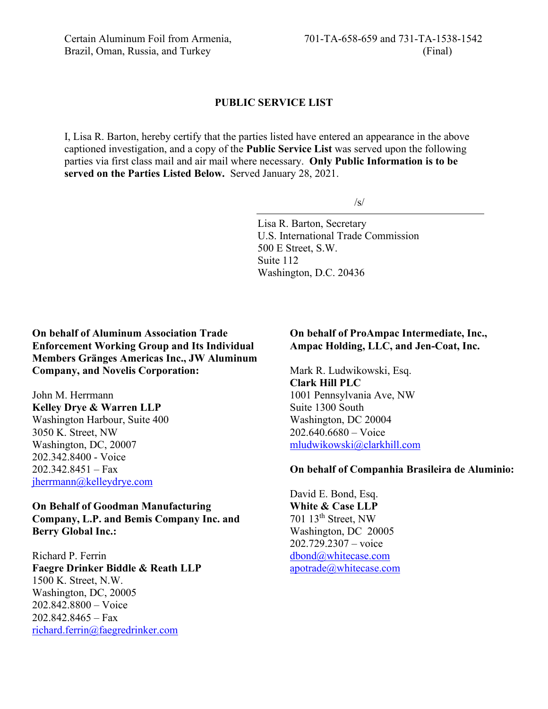#### **PUBLIC SERVICE LIST**

I, Lisa R. Barton, hereby certify that the parties listed have entered an appearance in the above captioned investigation, and a copy of the **Public Service List** was served upon the following parties via first class mail and air mail where necessary. **Only Public Information is to be served on the Parties Listed Below.** Served January 28, 2021.

 $\sqrt{s}$ 

Lisa R. Barton, Secretary U.S. International Trade Commission 500 E Street, S.W. Suite 112 Washington, D.C. 20436

**On behalf of Aluminum Association Trade Enforcement Working Group and Its Individual Members Gränges Americas Inc., JW Aluminum Company, and Novelis Corporation:**

John M. Herrmann **Kelley Drye & Warren LLP** Washington Harbour, Suite 400 3050 K. Street, NW Washington, DC, 20007 202.342.8400 - Voice  $202.342.8451 - Fax$ [jherrmann@kelleydrye.com](mailto:jherrmann@kelleydrye.com)

**On Behalf of Goodman Manufacturing Company, L.P. and Bemis Company Inc. and Berry Global Inc.:**

Richard P. Ferrin **Faegre Drinker Biddle & Reath LLP** 1500 K. Street, N.W. Washington, DC, 20005 202.842.8800 – Voice 202.842.8465 – Fax [richard.ferrin@faegredrinker.com](mailto:richard.ferrin@faegredrinker.com)

#### **On behalf of ProAmpac Intermediate, Inc., Ampac Holding, LLC, and Jen-Coat, Inc.**

Mark R. Ludwikowski, Esq. **Clark Hill PLC** 1001 Pennsylvania Ave, NW Suite 1300 South Washington, DC 20004 202.640.6680 – Voice [mludwikowski@clarkhill.com](mailto:mludwikowski@clarkhill.com)

#### **On behalf of Companhia Brasileira de Aluminio:**

David E. Bond, Esq. **White & Case LLP** 701 13th Street, NW Washington, DC 20005 202.729.2307 – voice [dbond@whitecase.com](mailto:dbond@whitecase.com) [apotrade@whitecase.com](mailto:apotrade@whitecase.com)